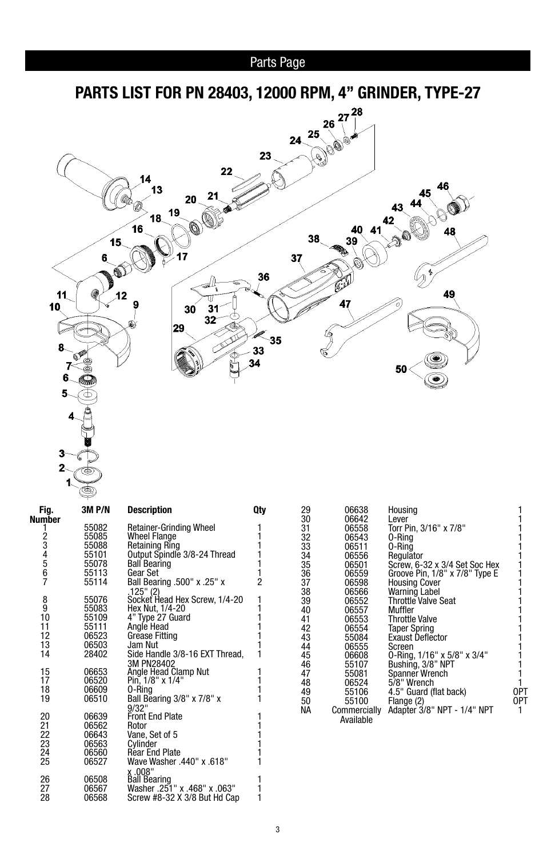



| Fig.   | 3M P/N | Description                    | Qty                                        |
|--------|--------|--------------------------------|--------------------------------------------|
| Number |        |                                |                                            |
| 1      | 55082  | <b>Retainer-Grinding Wheel</b> | 1                                          |
|        | 55085  | <b>Wheel Flange</b>            | $\frac{1}{1}$                              |
|        | 55088  | Retaining Ring                 |                                            |
|        | 55101  | Output Spindle 3/8-24 Thread   |                                            |
|        | 55078  | <b>Ball Bearing</b>            |                                            |
| 234567 | 55113  | Gear Set                       | $\begin{array}{c} 1 \\ 1 \\ 2 \end{array}$ |
|        | 55114  | Ball Bearing .500" x .25" x    |                                            |
|        |        | .125" (2)                      |                                            |
| 8      | 55076  | Socket Head Hex Screw, 1/4-20  |                                            |
| 9      | 55083  | Hex Nut, 1/4-20                |                                            |
| 10     | 55109  | 4" Type 27 Guard               | 111111                                     |
| 11     | 55111  | Angle Head                     |                                            |
| 12     | 06523  | Grease Fitting                 |                                            |
| 13     | 06503  | Jam Nut                        |                                            |
| 14     | 28402  | Side Handle 3/8-16 EXT Thread, | 1                                          |
|        |        | 3M PN28402                     |                                            |
| 15     | 06653  | Angle Head Clamp Nut           | 1<br>1                                     |
| 17     | 06520  | Pin, 1/8" x 1/4"               |                                            |
| 18     | 06609  | 0-Ring                         | $\frac{1}{1}$                              |
| 19     | 06510  | Ball Bearing 3/8" x 7/8" x     |                                            |
|        |        | 9/32"                          |                                            |
| 20     | 06639  | <b>Front End Plate</b>         | 1                                          |
| 21     | 06562  | Rotor                          |                                            |
| 22     | 06643  | Vane, Set of 5                 | $\frac{1}{1}$                              |
| 23     | 06563  | Cylinder                       |                                            |
| 24     | 06560  | <b>Rear End Plate</b>          |                                            |
| 25     | 06527  | "18. Wave Washer .440" x       | 1                                          |
|        |        | x.008"                         |                                            |
| 26     | 06508  | <b>Ball Bearing</b>            | 1                                          |
| 27     | 06567  | "300. washer .251" x .468" x   | 1                                          |
| 28     | 06568  | Screw #8-32 X 3/8 But Hd Cap   | 1                                          |
|        |        |                                |                                            |

| 29 | 06638        | Housing                        |     |
|----|--------------|--------------------------------|-----|
| 30 | 06642        | Lever                          |     |
| 31 | 06558        | Torr Pin, 3/16" x 7/8"         |     |
| 32 | 06543        | 0-Ring                         |     |
| 33 | 06511        | 0-Rină                         |     |
| 34 | 06556        | Regulator                      |     |
| 35 | 06501        | Screw, 6-32 x 3/4 Set Soc Hex  |     |
| 36 | 06559        | Groove Pin, 1/8" x 7/8" Type E |     |
| 37 | 06598        | <b>Housing Cover</b>           |     |
| 38 | 06566        | Warning Label                  |     |
| 39 | 06552        | <b>Throttle Valve Seat</b>     |     |
| 40 | 06557        | Muffler                        |     |
| 41 | 06553        | <b>Throttle Valve</b>          |     |
| 42 | 06554        | <b>Taper Spring</b>            |     |
| 43 | 55084        | <b>Exaust Deflector</b>        |     |
| 44 | 06555        | Screen                         |     |
| 45 | 06608        | 0-Ring, 1/16" x 5/8" x 3/4"    |     |
| 46 | 55107        | Bushing, 3/8" NPT              |     |
| 47 | 55081        | Spanner Wrench                 |     |
| 48 | 06524        | 5/8" Wrench                    |     |
| 49 | 55106        | 4.5" Guard (flat back)         | 0PT |
| 50 | 55100        | Flange (2)                     | 0PT |
| ΝA | Commercially | Adapter 3/8" NPT - 1/4" NPT    |     |
|    | Available    |                                |     |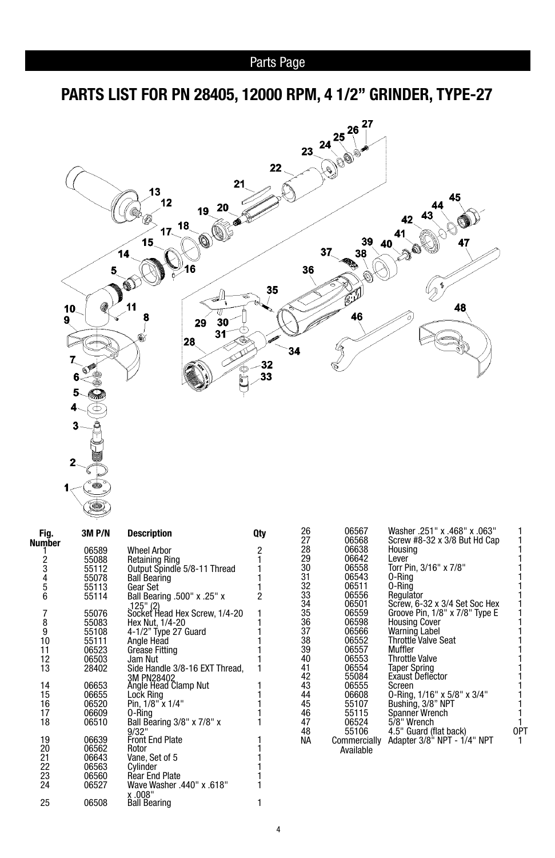**PARTS LIST FOR PN 28405, 12000 RPM, 4 1/2" GRINDER, TYPE-27**



| Fig.        | 3M P/N | <b>Description</b>                         | Qty            |
|-------------|--------|--------------------------------------------|----------------|
| Number      |        |                                            |                |
| 1           | 06589  | <b>Wheel Arbor</b>                         | 2<br>1         |
|             | 55088  | <b>Retaining Ring</b>                      |                |
|             | 55112  | Output Spindle 5/8-11 Thread               |                |
|             | 55078  | <b>Ball Bearing</b>                        |                |
|             | 55113  | Gear Set                                   | 1<br>1         |
| 23456       | 55114  | <b>Ball Bearing .500" x .25" x</b>         | $\overline{2}$ |
|             |        |                                            |                |
|             | 55076  | .125" (2)<br>Socket Head Hex Screw, 1/4-20 | 1              |
|             | 55083  | Hex Nut, 1/4-20                            | 1              |
| 7<br>8<br>9 | 55108  | 4-1/2" Type 27 Guard                       |                |
| 10          | 55111  | Angle Head                                 |                |
| 11          | 06523  | Grease Fitting                             |                |
| 12          | 06503  | Jam Nut                                    | 1              |
| 13          | 28402  | Side Handle 3/8-16 EXT Thread,             |                |
|             |        | 3M PN28402                                 |                |
| 14          | 06653  | Angle Head Clamp Nut                       |                |
| 15          | 06655  | Lock Ring                                  |                |
| 16          | 06520  | Pin, 1/8" x 1/4"                           | 1<br>1         |
| 17          | 06609  | 0-Ring                                     | 1              |
| 18          | 06510  | Ball Bearing 3/8" x 7/8" x                 |                |
|             |        | 9/32"                                      |                |
| 19          | 06639  | <b>Front End Plate</b>                     |                |
| 20          | 06562  | Rotor                                      | 1              |
| 21          | 06643  | Vane, Set of 5                             |                |
| 22          | 06563  | Cylinder                                   | $\frac{1}{1}$  |
| 23          | 06560  | <b>Rear End Plate</b>                      |                |
| 24          | 06527  | Wave Washer .440" x .618"                  |                |
|             |        | x.008"                                     |                |
| 25          | 06508  | <b>Ball Bearing</b>                        | 1              |
|             |        |                                            |                |

| 26<br>27<br>28 | 06567<br>06568<br>06638   | Washer .251" x .468" x .063"<br>Screw #8-32 x 3/8 But Hd Cap<br>Housina |     |
|----------------|---------------------------|-------------------------------------------------------------------------|-----|
| 29             | 06642                     | Lever                                                                   |     |
| 30             | 06558                     | Torr Pin, 3/16" x 7/8"                                                  |     |
| 31             | 06543                     | 0-Rina                                                                  |     |
| 32             | 06511                     | 0-Rina                                                                  |     |
| 33             | 06556                     | Regulator                                                               |     |
| 34             | 06501                     | Screw, 6-32 x 3/4 Set Soc Hex                                           |     |
| 35             | 06559                     | Groove Pin, 1/8" x 7/8" Type E                                          |     |
| 36             | 06598                     | <b>Housing Cover</b>                                                    |     |
| 37             | 06566                     | Warning Label                                                           |     |
| 38             | 06552                     | <b>Throttle Valve Seat</b>                                              |     |
| 39             | 06557                     | Muffler                                                                 |     |
| 40             | 06553                     | <b>Throttle Valve</b>                                                   |     |
| 41             | 06554                     | <b>Taper Spring</b>                                                     |     |
| 42             | 55084                     | <b>Exaust Deflector</b>                                                 |     |
| 43             | 06555                     | Screen                                                                  |     |
| 44             | 06608                     | 0-Ring, 1/16" x 5/8" x 3/4"                                             |     |
| 45             | 55107                     | Bushing, 3/8" NPT                                                       |     |
| 46             | 55115                     | Spanner Wrench                                                          |     |
| 47             | 06524                     | 5/8" Wrench                                                             |     |
| 48             | 55106                     | 4.5" Guard (flat back)                                                  | 0PT |
| NА             | Commercially<br>Available | Adapter 3/8" NPT - 1/4" NPT                                             |     |
|                |                           |                                                                         |     |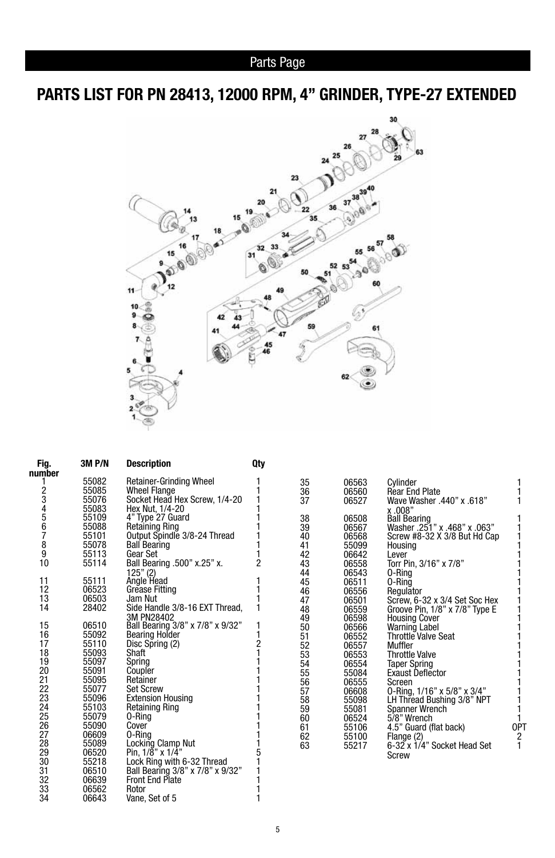# **PARTS LIST FOR PN 28413, 12000 RPM, 4" GRINDER, TYPE-27 EXTENDED**



| Fig.<br>number | 3M P/N | <b>Description</b>                 | Qty            |    |       |                                |     |
|----------------|--------|------------------------------------|----------------|----|-------|--------------------------------|-----|
|                | 55082  | <b>Retainer-Grinding Wheel</b>     |                | 35 | 06563 | Cvlinder                       |     |
|                | 55085  | <b>Wheel Flange</b>                |                | 36 | 06560 | <b>Rear End Plate</b>          |     |
|                | 55076  | Socket Head Hex Screw, 1/4-20      |                | 37 | 06527 | Wave Washer .440" x .618"      |     |
|                | 55083  | Hex Nut, 1/4-20                    |                |    |       |                                |     |
|                | 55109  | 4" Type 27 Guard                   |                | 38 | 06508 | x .008"<br>Ball Bearing        |     |
|                | 55088  | <b>Retaining Ring</b>              |                | 39 | 06567 | Washer .251" x .468" x .063"   |     |
| 23456789       | 55101  | Output Spindle 3/8-24 Thread       |                | 40 | 06568 | Screw #8-32 X 3/8 But Hd Cap   |     |
|                | 55078  | <b>Ball Bearing</b>                |                | 41 | 55099 | Housing                        |     |
|                | 55113  | Gear Set                           |                | 42 | 06642 | Lever                          |     |
| 10             | 55114  | Ball Bearing .500" x.25" x.        | $\overline{c}$ | 43 | 06558 | Torr Pin, 3/16" x 7/8"         |     |
|                |        |                                    |                | 44 | 06543 | 0-Rina                         |     |
| 11             | 55111  | 125" (2)<br>Angle Head             |                | 45 | 06511 | 0-Ring                         |     |
| 12             | 06523  | <b>Grease Fitting</b>              |                | 46 | 06556 | Regulator                      |     |
| 13             | 06503  | Jam Nut                            |                | 47 | 06501 | Screw, 6-32 x 3/4 Set Soc Hex  |     |
| 14             | 28402  | Side Handle 3/8-16 EXT Thread,     |                | 48 | 06559 | Groove Pin, 1/8" x 7/8" Type E |     |
|                |        | 3M PN28402                         |                | 49 | 06598 | <b>Housing Cover</b>           |     |
| 15             | 06510  | Ball Bearing 3/8" x 7/8" x 9/32"   |                | 50 | 06566 | Warning Label                  |     |
| 16             | 55092  | <b>Bearing Holder</b>              |                | 51 | 06552 | Throttle Valve Seat            |     |
| 17             | 55110  | Disc Spring (2)                    |                | 52 | 06557 | Muffler                        |     |
| 18             | 55093  | Shaft                              |                | 53 | 06553 | <b>Throttle Valve</b>          |     |
| 19             | 55097  | Spring                             |                | 54 | 06554 | <b>Taper Spring</b>            |     |
| 20             | 55091  | Coupler                            |                | 55 | 55084 | <b>Exaust Deflector</b>        |     |
| 21             | 55095  | Retainer                           |                | 56 | 06555 | Screen                         |     |
| 22             | 55077  | <b>Set Screw</b>                   |                | 57 | 06608 | 0-Ring, 1/16" x 5/8" x 3/4"    |     |
| 23             | 55096  | <b>Extension Housing</b>           |                | 58 | 55098 | LH Thread Bushing 3/8" NPT     |     |
| 24             | 55103  | <b>Retaining Ring</b>              |                | 59 | 55081 | <b>Spanner Wrench</b>          |     |
| 25             | 55079  | 0-Ring                             |                | 60 | 06524 | 5/8" Wrench                    |     |
| 26             | 55090  | Cover                              |                | 61 | 55106 | 4.5" Guard (flat back)         | 0PT |
| 27             | 06609  | 0-Ring                             |                | 62 | 55100 | Flange (2)                     | 2   |
| 28             | 55089  | Locking Clamp Nut                  |                | 63 | 55217 | 6-32 x 1/4" Socket Head Set    | 1   |
| 29             | 06520  | Pin, $1/\bar{8}$ " x $1/\bar{4}$ " |                |    |       | Screw                          |     |
| 30             | 55218  | Lock Ring with 6-32 Thread         |                |    |       |                                |     |
| 31             | 06510  | Ball Bearing 3/8" x 7/8" x 9/32"   |                |    |       |                                |     |
| 32             | 06639  | <b>Front End Plate</b>             |                |    |       |                                |     |

33 06562 Rotor 1 06643 Vane, Set of 5 1